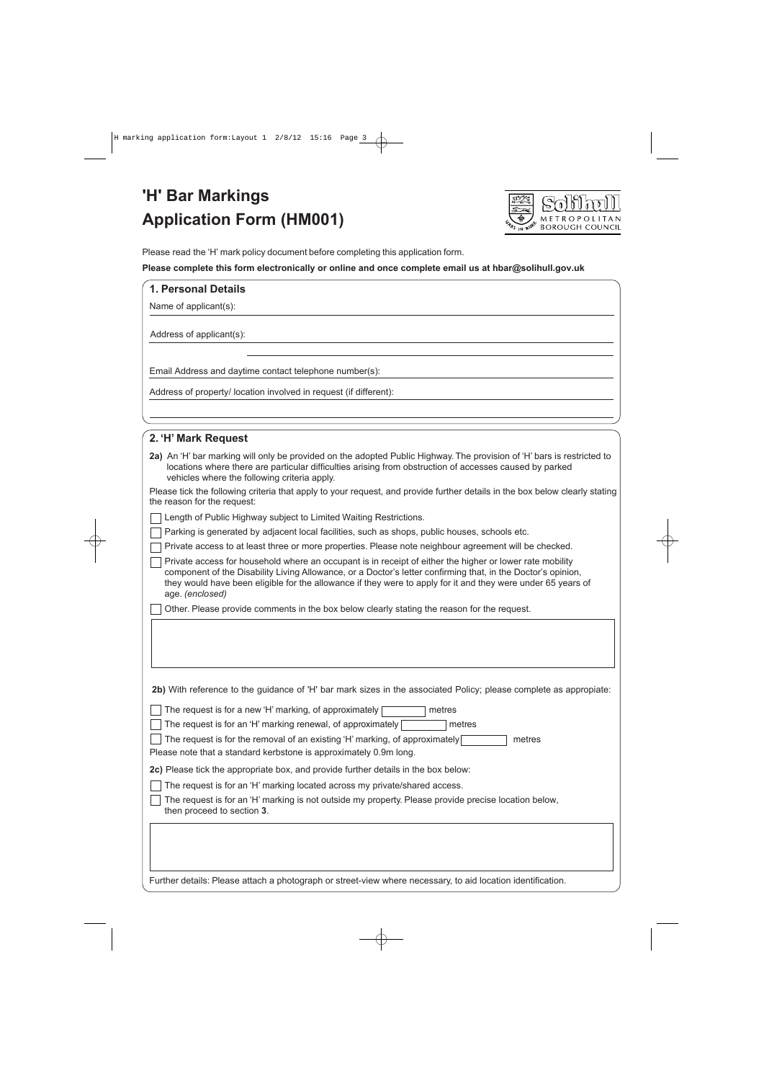# **'H' Bar Markings Application Form (HM001)**



Please read the 'H' mark policy document before completing this application form.

#### **Please complete this form electronically or online and once complete email us at hbar@solihull.gov.uk**

## **1. Personal Details**

Name of applicant(s):

Address of applicant(s):

Email Address and daytime contact telephone number(s):

Address of property/ location involved in request (if different):

| 2. 'H' Mark Request                                                                                                                                                                                                                                                                                                                                         |  |  |  |
|-------------------------------------------------------------------------------------------------------------------------------------------------------------------------------------------------------------------------------------------------------------------------------------------------------------------------------------------------------------|--|--|--|
| 2a) An 'H' bar marking will only be provided on the adopted Public Highway. The provision of 'H' bars is restricted to<br>locations where there are particular difficulties arising from obstruction of accesses caused by parked<br>vehicles where the following criteria apply.                                                                           |  |  |  |
| Please tick the following criteria that apply to your request, and provide further details in the box below clearly stating<br>the reason for the request:                                                                                                                                                                                                  |  |  |  |
| Length of Public Highway subject to Limited Waiting Restrictions.                                                                                                                                                                                                                                                                                           |  |  |  |
| Parking is generated by adjacent local facilities, such as shops, public houses, schools etc.                                                                                                                                                                                                                                                               |  |  |  |
| Private access to at least three or more properties. Please note neighbour agreement will be checked.                                                                                                                                                                                                                                                       |  |  |  |
| Private access for household where an occupant is in receipt of either the higher or lower rate mobility<br>component of the Disability Living Allowance, or a Doctor's letter confirming that, in the Doctor's opinion,<br>they would have been eligible for the allowance if they were to apply for it and they were under 65 years of<br>age. (enclosed) |  |  |  |
| Other. Please provide comments in the box below clearly stating the reason for the request.                                                                                                                                                                                                                                                                 |  |  |  |
| 2b) With reference to the guidance of 'H' bar mark sizes in the associated Policy; please complete as appropiate:                                                                                                                                                                                                                                           |  |  |  |
| The request is for a new 'H' marking, of approximately<br>metres                                                                                                                                                                                                                                                                                            |  |  |  |
| The request is for an 'H' marking renewal, of approximately [<br>metres                                                                                                                                                                                                                                                                                     |  |  |  |
| The request is for the removal of an existing 'H' marking, of approximately<br>metres<br>Please note that a standard kerbstone is approximately 0.9m long.                                                                                                                                                                                                  |  |  |  |
| 2c) Please tick the appropriate box, and provide further details in the box below:                                                                                                                                                                                                                                                                          |  |  |  |
| The request is for an 'H' marking located across my private/shared access.                                                                                                                                                                                                                                                                                  |  |  |  |
| The request is for an 'H' marking is not outside my property. Please provide precise location below,<br>then proceed to section 3.                                                                                                                                                                                                                          |  |  |  |
|                                                                                                                                                                                                                                                                                                                                                             |  |  |  |
|                                                                                                                                                                                                                                                                                                                                                             |  |  |  |
| Further details: Please attach a photograph or street-view where necessary, to aid location identification.                                                                                                                                                                                                                                                 |  |  |  |